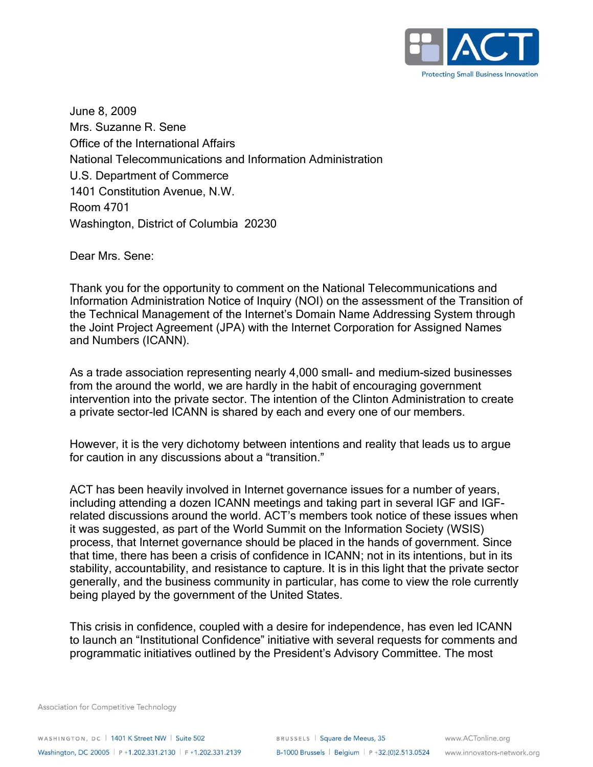

June 8, 2009 Mrs. Suzanne R. Sene Office of the International Affairs National Telecommunications and Information Administration U.S. Department of Commerce 1401 Constitution Avenue, N.W. Room 4701 Washington, District of Columbia 20230

Dear Mrs. Sene:

Thank you for the opportunity to comment on the National Telecommunications and Information Administration Notice of Inquiry (NOI) on the assessment of the Transition of the Technical Management of the Internet's Domain Name Addressing System through the Joint Project Agreement (JPA) with the Internet Corporation for Assigned Names and Numbers (ICANN).

As a trade association representing nearly 4,000 small- and medium-sized businesses from the around the world, we are hardly in the habit of encouraging government intervention into the private sector. The intention of the Clinton Administration to create a private sector-led ICANN is shared by each and every one of our members.

However, it is the very dichotomy between intentions and reality that leads us to argue for caution in any discussions about a "transition."

ACT has been heavily involved in Internet governance issues for a number of years, including attending a dozen ICANN meetings and taking part in several IGF and IGFrelated discussions around the world. ACT's members took notice of these issues when it was suggested, as part of the World Summit on the Information Society (WSIS) process, that Internet governance should be placed in the hands of government. Since that time, there has been a crisis of confidence in ICANN; not in its intentions, but in its stability, accountability, and resistance to capture. It is in this light that the private sector generally, and the business community in particular, has come to view the role currently being played by the government of the United States.

This crisis in confidence, coupled with a desire for independence, has even led ICANN to launch an "Institutional Confidence" initiative with several requests for comments and programmatic initiatives outlined by the President's Advisory Committee. The most

Association for Competitive Technology